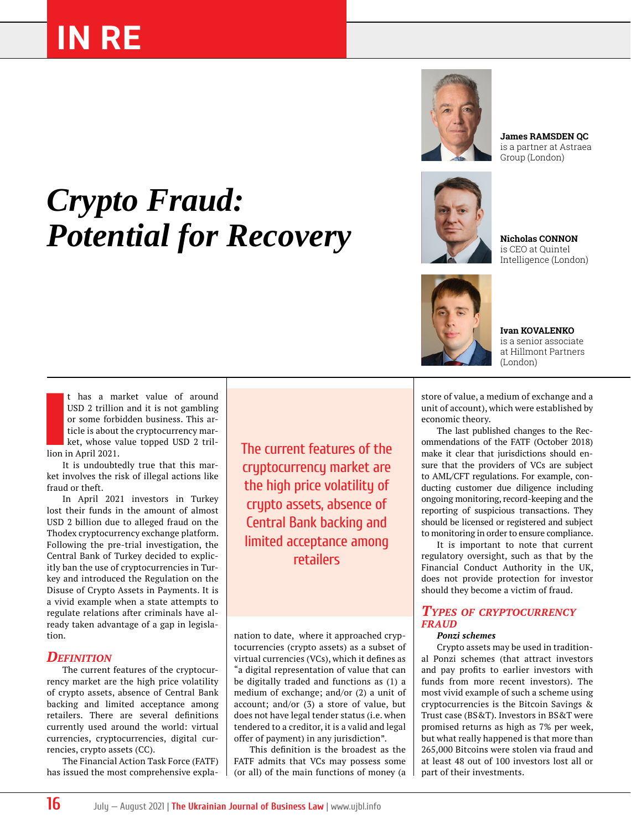# **IN RE**



**James RAMSDEN QC** is a partner at Astraea Group (London)

# *Crypto Fraud:*  **Potential for Recovery**



is CEO at Quintel Intelligence (London)



**Ivan KOVALENKO** is a senior associate at Hillmont Partners (London)

t has a m<br>
USD 2 trillion<br>
or some forb<br>
ticle is about<br>
ket, whose v<br>
lion in April 2021. t has a market value of around USD 2 trillion and it is not gambling or some forbidden business. This article is about the cryptocurrency market, whose value topped USD 2 tril-

It is undoubtedly true that this market involves the risk of illegal actions like fraud or theft.

In April 2021 investors in Turkey lost their funds in the amount of almost USD 2 billion due to alleged fraud on the Thodex cryptocurrency exchange platform. Following the pre-trial investigation, the Central Bank of Turkey decided to explicitly ban the use of cryptocurrencies in Turkey and introduced the Regulation on the Disuse of Crypto Assets in Payments. It is a vivid example when a state attempts to regulate relations after criminals have already taken advantage of a gap in legislation.

#### *Definition*

The current features of the cryptocurrency market are the high price volatility of crypto assets, absence of Central Bank backing and limited acceptance among retailers. There are several definitions currently used around the world: virtual currencies, cryptocurrencies, digital currencies, crypto assets (CC).

The Financial Action Task Force (FATF) has issued the most comprehensive explaThe current features of the cryptocurrency market are the high price volatility of crypto assets, absence of Central Bank backing and limited acceptance among retailers

nation to date, where it approached cryptocurrencies (crypto assets) as a subset of virtual currencies (VCs), which it defines as "a digital representation of value that can be digitally traded and functions as (1) a medium of exchange; and/or (2) a unit of account; and/or (3) a store of value, but does not have legal tender status (i.e. when tendered to a creditor, it is a valid and legal offer of payment) in any jurisdiction".

This definition is the broadest as the FATF admits that VCs may possess some (or all) of the main functions of money (a

store of value, a medium of exchange and a unit of account), which were established by economic theory.

The last published changes to the Recommendations of the FATF (October 2018) make it clear that jurisdictions should ensure that the providers of VCs are subject to AML/CFT regulations. For example, conducting customer due diligence including ongoing monitoring, record-keeping and the reporting of suspicious transactions. They should be licensed or registered and subject to monitoring in order to ensure compliance.

It is important to note that current regulatory oversight, such as that by the Financial Conduct Authority in the UK, does not provide protection for investor should they become a victim of fraud.

#### *Types of cryptocurrency fraud*

#### *Ponzi schemes*

Crypto assets may be used in traditional Ponzi schemes (that attract investors and pay profits to earlier investors with funds from more recent investors). The most vivid example of such a scheme using cryptocurrencies is the Bitcoin Savings & Trust case (BS&T). Investors in BS&T were promised returns as high as 7% per week, but what really happened is that more than 265,000 Bitcoins were stolen via fraud and at least 48 out of 100 investors lost all or part of their investments.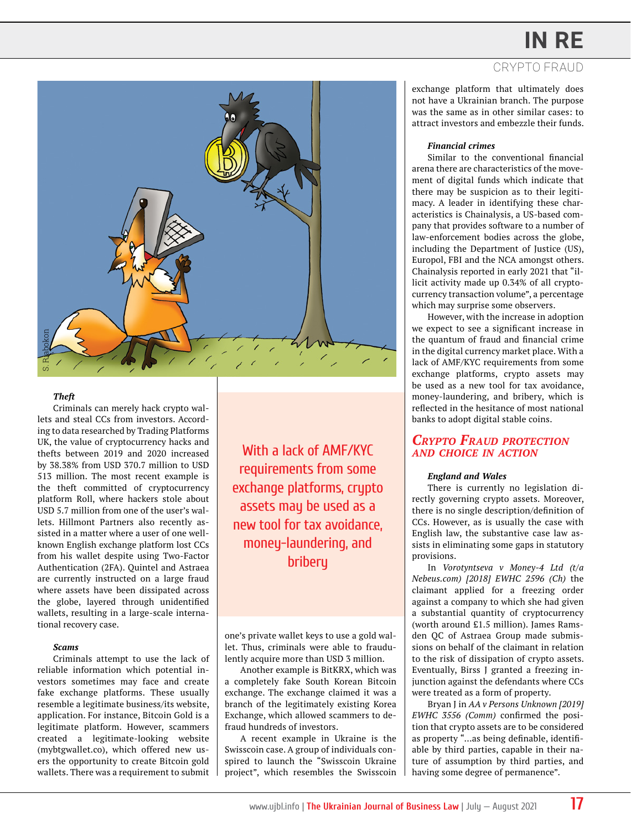## **IN RE**





#### *Theft*

Criminals can merely hack crypto wallets and steal CCs from investors. According to data researched by Trading Platforms UK, the value of cryptocurrency hacks and thefts between 2019 and 2020 increased by 38.38% from USD 370.7 million to USD 513 million. The most recent example is the theft committed of cryptocurrency platform Roll, where hackers stole about USD 5.7 million from one of the user's wallets. Hillmont Partners also recently assisted in a matter where a user of one wellknown English exchange platform lost CCs from his wallet despite using Two-Factor Authentication (2FA). Quintel and Astraea are currently instructed on a large fraud where assets have been dissipated across the globe, layered through unidentified wallets, resulting in a large-scale international recovery case.

#### *Scams*

Criminals attempt to use the lack of reliable information which potential investors sometimes may face and create fake exchange platforms. These usually resemble a legitimate business/its website, application. For instance, Bitcoin Gold is a legitimate platform. However, scammers created a legitimate-looking website (mybtgwallet.co), which offered new users the opportunity to create Bitcoin gold wallets. There was a requirement to submit

With a lack of AMF/KYC requirements from some exchange platforms, crypto assets may be used as a new tool for tax avoidance, money-laundering, and bribery

one's private wallet keys to use a gold wallet. Thus, criminals were able to fraudulently acquire more than USD 3 million.

Another example is BitKRX, which was a completely fake South Korean Bitcoin exchange. The exchange claimed it was a branch of the legitimately existing Korea Exchange, which allowed scammers to defraud hundreds of investors.

A recent example in Ukraine is the Swisscoin case. A group of individuals conspired to launch the "Swisscoin Ukraine project", which resembles the Swisscoin exchange platform that ultimately does not have a Ukrainian branch. The purpose was the same as in other similar cases: to attract investors and embezzle their funds.

#### *Financial crimes*

Similar to the conventional financial arena there are characteristics of the movement of digital funds which indicate that there may be suspicion as to their legitimacy. A leader in identifying these characteristics is Chainalysis, a US-based company that provides software to a number of law-enforcement bodies across the globe, including the Department of Justice (US), Europol, FBI and the NCA amongst others. Chainalysis reported in early 2021 that "illicit activity made up 0.34% of all cryptocurrency transaction volume", a percentage which may surprise some observers.

However, with the increase in adoption we expect to see a significant increase in the quantum of fraud and financial crime in the digital currency market place. With a lack of AMF/KYC requirements from some exchange platforms, crypto assets may be used as a new tool for tax avoidance, money-laundering, and bribery, which is reflected in the hesitance of most national banks to adopt digital stable coins.

#### *Crypto Fraud protection and choice in action*

#### *England and Wales*

There is currently no legislation directly governing crypto assets. Moreover, there is no single description/definition of CCs. However, as is usually the case with English law, the substantive case law assists in eliminating some gaps in statutory provisions.

In *Vorotyntseva v Money-4 Ltd (t/a Nebeus.com) [2018] EWHC 2596 (Ch)* the claimant applied for a freezing order against a company to which she had given a substantial quantity of cryptocurrency (worth around £1.5 million). James Ramsden QC of Astraea Group made submissions on behalf of the claimant in relation to the risk of dissipation of crypto assets. Eventually, Birss J granted a freezing injunction against the defendants where CCs were treated as a form of property.

Bryan J in *AA v Persons Unknown [2019] EWHC 3556 (Comm)* confirmed the position that crypto assets are to be considered as property "…as being definable, identifiable by third parties, capable in their nature of assumption by third parties, and having some degree of permanence".